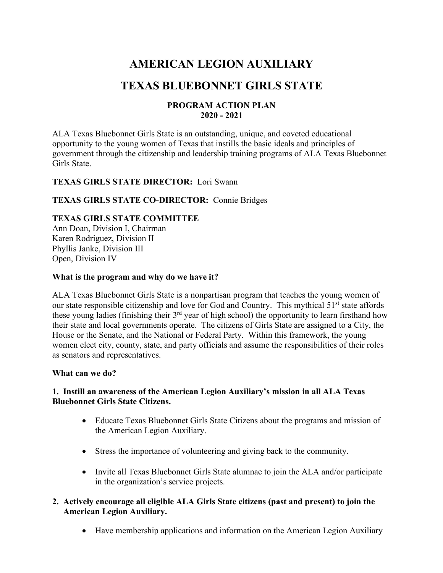# **AMERICAN LEGION AUXILIARY**

## **TEXAS BLUEBONNET GIRLS STATE**

#### **PROGRAM ACTION PLAN 2020 - 2021**

ALA Texas Bluebonnet Girls State is an outstanding, unique, and coveted educational opportunity to the young women of Texas that instills the basic ideals and principles of government through the citizenship and leadership training programs of ALA Texas Bluebonnet Girls State.

## **TEXAS GIRLS STATE DIRECTOR:** Lori Swann

## **TEXAS GIRLS STATE CO-DIRECTOR:** Connie Bridges

## **TEXAS GIRLS STATE COMMITTEE**

Ann Doan, Division I, Chairman Karen Rodriguez, Division II Phyllis Janke, Division III Open, Division IV

#### **What is the program and why do we have it?**

ALA Texas Bluebonnet Girls State is a nonpartisan program that teaches the young women of our state responsible citizenship and love for God and Country. This mythical 51<sup>st</sup> state affords these young ladies (finishing their 3<sup>rd</sup> year of high school) the opportunity to learn firsthand how their state and local governments operate. The citizens of Girls State are assigned to a City, the House or the Senate, and the National or Federal Party. Within this framework, the young women elect city, county, state, and party officials and assume the responsibilities of their roles as senators and representatives.

#### **What can we do?**

#### **1. Instill an awareness of the American Legion Auxiliary's mission in all ALA Texas Bluebonnet Girls State Citizens.**

- Educate Texas Bluebonnet Girls State Citizens about the programs and mission of the American Legion Auxiliary.
- Stress the importance of volunteering and giving back to the community.
- Invite all Texas Bluebonnet Girls State alumnae to join the ALA and/or participate in the organization's service projects.
- **2. Actively encourage all eligible ALA Girls State citizens (past and present) to join the American Legion Auxiliary.**
	- Have membership applications and information on the American Legion Auxiliary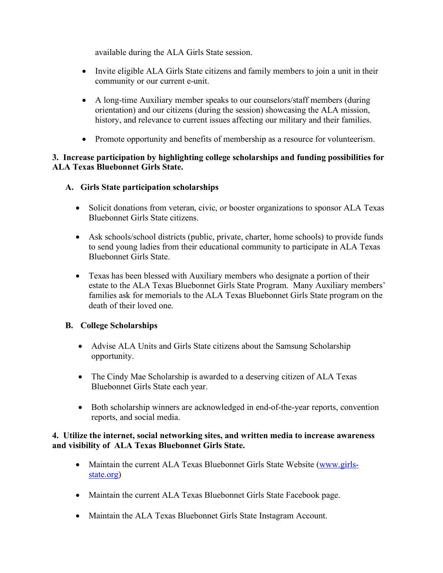available during the ALA Girls State session.

- Invite eligible ALA Girls State citizens and family members to join a unit in their community or our current e-unit.
- A long-time Auxiliary member speaks to our counselors/staff members (during orientation) and our citizens (during the session) showcasing the ALA mission, history, and relevance to current issues affecting our military and their families.
- Promote opportunity and benefits of membership as a resource for volunteerism.

## **3. Increase participation by highlighting college scholarships and funding possibilities for ALA Texas Bluebonnet Girls State.**

## **A. Girls State participation scholarships**

- Solicit donations from veteran, civic, or booster organizations to sponsor ALA Texas Bluebonnet Girls State citizens.
- Ask schools/school districts (public, private, charter, home schools) to provide funds to send young ladies from their educational community to participate in ALA Texas Bluebonnet Girls State.
- Texas has been blessed with Auxiliary members who designate a portion of their estate to the ALA Texas Bluebonnet Girls State Program. Many Auxiliary members' families ask for memorials to the ALA Texas Bluebonnet Girls State program on the death of their loved one.

## **B. College Scholarships**

- Advise ALA Units and Girls State citizens about the Samsung Scholarship opportunity.
- The Cindy Mae Scholarship is awarded to a deserving citizen of ALA Texas Bluebonnet Girls State each year.
- Both scholarship winners are acknowledged in end-of-the-year reports, convention reports, and social media.

## **4. Utilize the internet, social networking sites, and written media to increase awareness and visibility of ALA Texas Bluebonnet Girls State.**

- Maintain the current ALA Texas Bluebonnet Girls State Website (www.girlsstate.org)
- Maintain the current ALA Texas Bluebonnet Girls State Facebook page.
- Maintain the ALA Texas Bluebonnet Girls State Instagram Account.